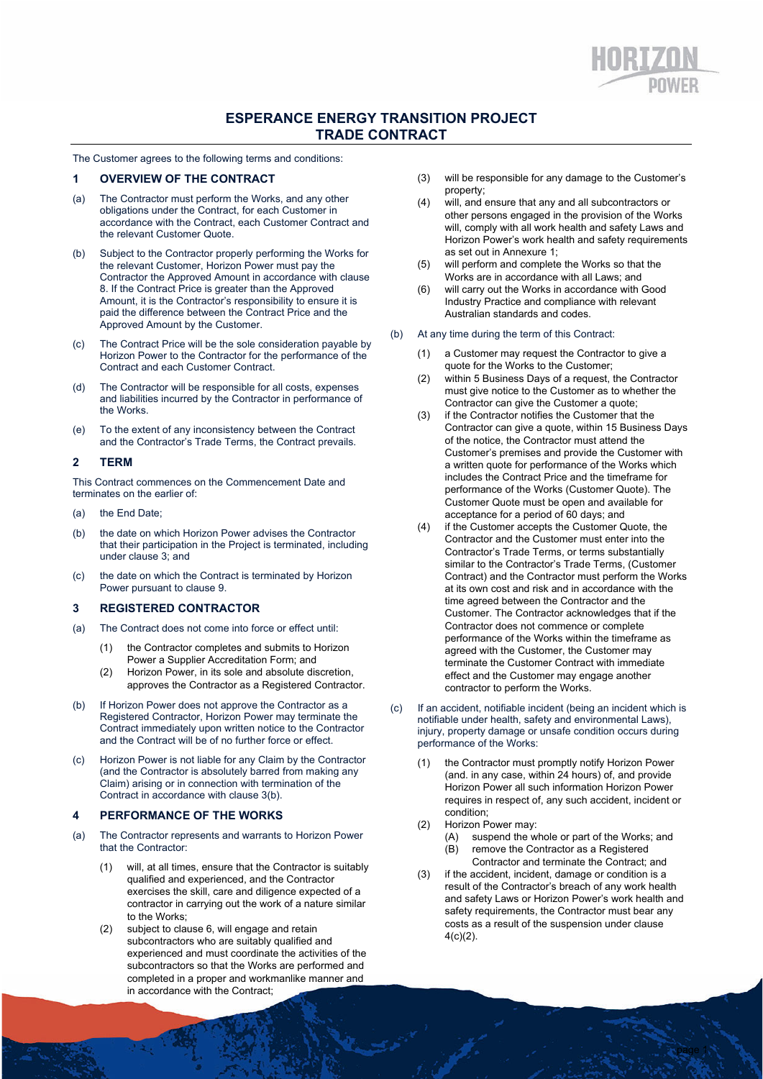# **ESPERANCE ENERGY TRANSITION PROJECT TRADE CONTRACT**

The Customer agrees to the following terms and conditions:

### **1 OVERVIEW OF THE CONTRACT**

- (a) The Contractor must perform the Works, and any other obligations under the Contract, for each Customer in accordance with the Contract, each Customer Contract and the relevant Customer Quote.
- (b) Subject to the Contractor properly performing the Works for the relevant Customer, Horizon Power must pay the Contractor the Approved Amount in accordance with clause 8. If the Contract Price is greater than the Approved Amount, it is the Contractor's responsibility to ensure it is paid the difference between the Contract Price and the Approved Amount by the Customer.
- (c) The Contract Price will be the sole consideration payable by Horizon Power to the Contractor for the performance of the Contract and each Customer Contract.
- (d) The Contractor will be responsible for all costs, expenses and liabilities incurred by the Contractor in performance of the Works.
- (e) To the extent of any inconsistency between the Contract and the Contractor's Trade Terms, the Contract prevails.

#### **2 TERM**

This Contract commences on the Commencement Date and terminates on the earlier of:

- (a) the End Date;
- (b) the date on which Horizon Power advises the Contractor that their participation in the Project is terminated, including under clause 3; and
- (c) the date on which the Contract is terminated by Horizon Power pursuant to clause 9.

#### **3 REGISTERED CONTRACTOR**

- (a) The Contract does not come into force or effect until:
	- (1) the Contractor completes and submits to Horizon Power a Supplier Accreditation Form; and
	- (2) Horizon Power, in its sole and absolute discretion, approves the Contractor as a Registered Contractor.
- (b) If Horizon Power does not approve the Contractor as a Registered Contractor, Horizon Power may terminate the Contract immediately upon written notice to the Contractor and the Contract will be of no further force or effect.
- (c) Horizon Power is not liable for any Claim by the Contractor (and the Contractor is absolutely barred from making any Claim) arising or in connection with termination of the Contract in accordance with clause 3(b).

#### **4 PERFORMANCE OF THE WORKS**

- (a) The Contractor represents and warrants to Horizon Power that the Contractor:
	- (1) will, at all times, ensure that the Contractor is suitably qualified and experienced, and the Contractor exercises the skill, care and diligence expected of a contractor in carrying out the work of a nature similar to the Works;
	- (2) subject to clause 6, will engage and retain subcontractors who are suitably qualified and experienced and must coordinate the activities of the subcontractors so that the Works are performed and completed in a proper and workmanlike manner and in accordance with the Contract;
- (3) will be responsible for any damage to the Customer's property;
- (4) will, and ensure that any and all subcontractors or other persons engaged in the provision of the Works will, comply with all work health and safety Laws and Horizon Power's work health and safety requirements as set out in Annexure 1;
- (5) will perform and complete the Works so that the Works are in accordance with all Laws; and
- (6) will carry out the Works in accordance with Good Industry Practice and compliance with relevant Australian standards and codes.
- (b) At any time during the term of this Contract:
	- (1) a Customer may request the Contractor to give a quote for the Works to the Customer;
	- (2) within 5 Business Days of a request, the Contractor must give notice to the Customer as to whether the Contractor can give the Customer a quote;
	- (3) if the Contractor notifies the Customer that the Contractor can give a quote, within 15 Business Days of the notice, the Contractor must attend the Customer's premises and provide the Customer with a written quote for performance of the Works which includes the Contract Price and the timeframe for performance of the Works (Customer Quote). The Customer Quote must be open and available for acceptance for a period of 60 days; and
	- (4) if the Customer accepts the Customer Quote, the Contractor and the Customer must enter into the Contractor's Trade Terms, or terms substantially similar to the Contractor's Trade Terms, (Customer Contract) and the Contractor must perform the Works at its own cost and risk and in accordance with the time agreed between the Contractor and the Customer. The Contractor acknowledges that if the Contractor does not commence or complete performance of the Works within the timeframe as agreed with the Customer, the Customer may terminate the Customer Contract with immediate effect and the Customer may engage another contractor to perform the Works.
- (c) If an accident, notifiable incident (being an incident which is notifiable under health, safety and environmental Laws), injury, property damage or unsafe condition occurs during performance of the Works:
	- (1) the Contractor must promptly notify Horizon Power (and. in any case, within 24 hours) of, and provide Horizon Power all such information Horizon Power requires in respect of, any such accident, incident or condition;
	- (2) Horizon Power may:
		- (A) suspend the whole or part of the Works; and (B) remove the Contractor as a Registered Contractor and terminate the Contract; and
	- (3) if the accident, incident, damage or condition is a result of the Contractor's breach of any work health and safety Laws or Horizon Power's work health and safety requirements, the Contractor must bear any costs as a result of the suspension under clause 4(c)(2).

page 1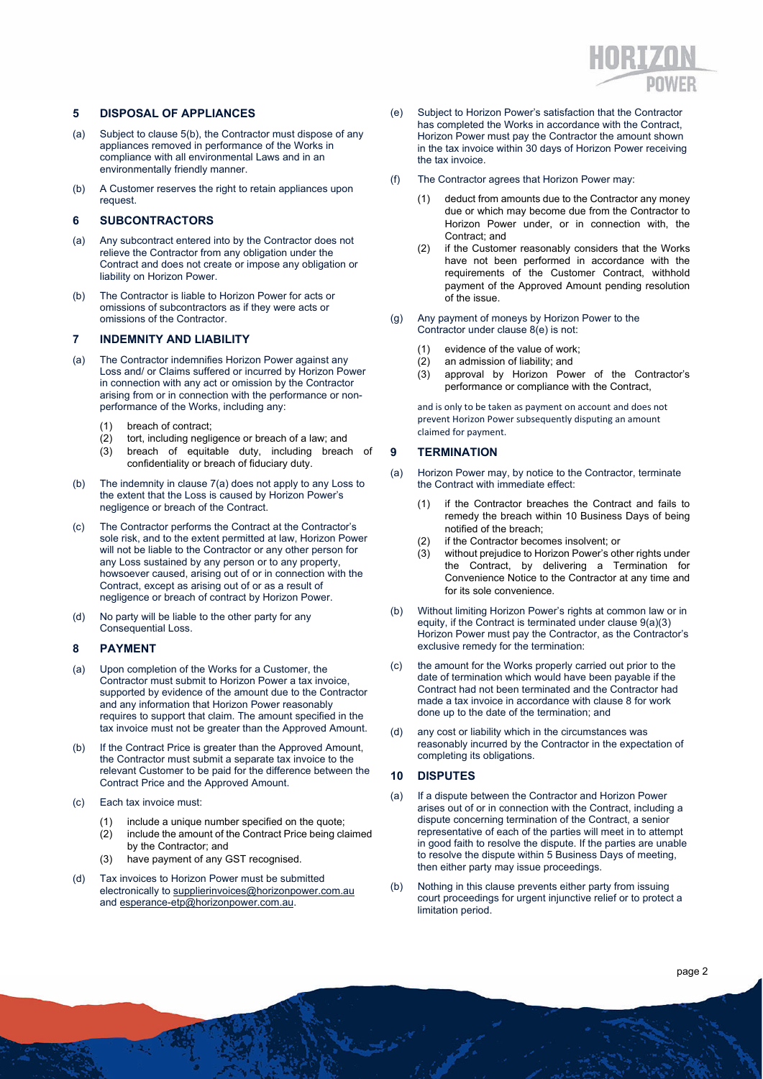

#### **5 DISPOSAL OF APPLIANCES**

- (a) Subject to clause 5(b), the Contractor must dispose of any appliances removed in performance of the Works in compliance with all environmental Laws and in an environmentally friendly manner.
- (b) A Customer reserves the right to retain appliances upon request.

## **6 SUBCONTRACTORS**

- (a) Any subcontract entered into by the Contractor does not relieve the Contractor from any obligation under the Contract and does not create or impose any obligation or liability on Horizon Power.
- (b) The Contractor is liable to Horizon Power for acts or omissions of subcontractors as if they were acts or omissions of the Contractor.

#### **7 INDEMNITY AND LIABILITY**

- (a) The Contractor indemnifies Horizon Power against any Loss and/ or Claims suffered or incurred by Horizon Power in connection with any act or omission by the Contractor arising from or in connection with the performance or nonperformance of the Works, including any:
	- (1) breach of contract;
	- (2) tort, including negligence or breach of a law; and
	- (3) breach of equitable duty, including breach of confidentiality or breach of fiduciary duty.
- (b) The indemnity in clause 7(a) does not apply to any Loss to the extent that the Loss is caused by Horizon Power's negligence or breach of the Contract.
- (c) The Contractor performs the Contract at the Contractor's sole risk, and to the extent permitted at law, Horizon Power will not be liable to the Contractor or any other person for any Loss sustained by any person or to any property, howsoever caused, arising out of or in connection with the Contract, except as arising out of or as a result of negligence or breach of contract by Horizon Power.
- (d) No party will be liable to the other party for any Consequential Loss.

#### **8 PAYMENT**

- (a) Upon completion of the Works for a Customer, the Contractor must submit to Horizon Power a tax invoice, supported by evidence of the amount due to the Contractor and any information that Horizon Power reasonably requires to support that claim. The amount specified in the tax invoice must not be greater than the Approved Amount.
- (b) If the Contract Price is greater than the Approved Amount, the Contractor must submit a separate tax invoice to the relevant Customer to be paid for the difference between the Contract Price and the Approved Amount.
- (c) Each tax invoice must:
	- (1) include a unique number specified on the quote;
	- (2) include the amount of the Contract Price being claimed by the Contractor; and
	- have payment of any GST recognised.
- (d) Tax invoices to Horizon Power must be submitted electronically to supplierinvoices@horizonpower.com.au and esperance-etp@horizonpower.com.au.
- (e) Subject to Horizon Power's satisfaction that the Contractor has completed the Works in accordance with the Contract, Horizon Power must pay the Contractor the amount shown in the tax invoice within 30 days of Horizon Power receiving the tax invoice.
- (f) The Contractor agrees that Horizon Power may:
	- (1) deduct from amounts due to the Contractor any money due or which may become due from the Contractor to Horizon Power under, or in connection with, the Contract; and
	- (2) if the Customer reasonably considers that the Works have not been performed in accordance with the requirements of the Customer Contract, withhold payment of the Approved Amount pending resolution of the issue.
- (g) Any payment of moneys by Horizon Power to the Contractor under clause 8(e) is not:
	- (1) evidence of the value of work;
	- $(2)$  an admission of liability; and
	- (3) approval by Horizon Power of the Contractor's performance or compliance with the Contract,

and is only to be taken as payment on account and does not prevent Horizon Power subsequently disputing an amount claimed for payment.

#### **9 TERMINATION**

- (a) Horizon Power may, by notice to the Contractor, terminate the Contract with immediate effect:
	- (1) if the Contractor breaches the Contract and fails to remedy the breach within 10 Business Days of being notified of the breach;
	- (2) if the Contractor becomes insolvent; or
	- (3) without prejudice to Horizon Power's other rights under the Contract, by delivering a Termination for Convenience Notice to the Contractor at any time and for its sole convenience.
- (b) Without limiting Horizon Power's rights at common law or in equity, if the Contract is terminated under clause 9(a)(3) Horizon Power must pay the Contractor, as the Contractor's exclusive remedy for the termination:
- (c) the amount for the Works properly carried out prior to the date of termination which would have been payable if the Contract had not been terminated and the Contractor had made a tax invoice in accordance with clause 8 for work done up to the date of the termination; and
- (d) any cost or liability which in the circumstances was reasonably incurred by the Contractor in the expectation of completing its obligations.

#### **10 DISPUTES**

د.<br>استعمال المستعمل

- (a) If a dispute between the Contractor and Horizon Power arises out of or in connection with the Contract, including a dispute concerning termination of the Contract, a senior representative of each of the parties will meet in to attempt in good faith to resolve the dispute. If the parties are unable to resolve the dispute within 5 Business Days of meeting, then either party may issue proceedings.
- (b) Nothing in this clause prevents either party from issuing court proceedings for urgent injunctive relief or to protect a limitation period.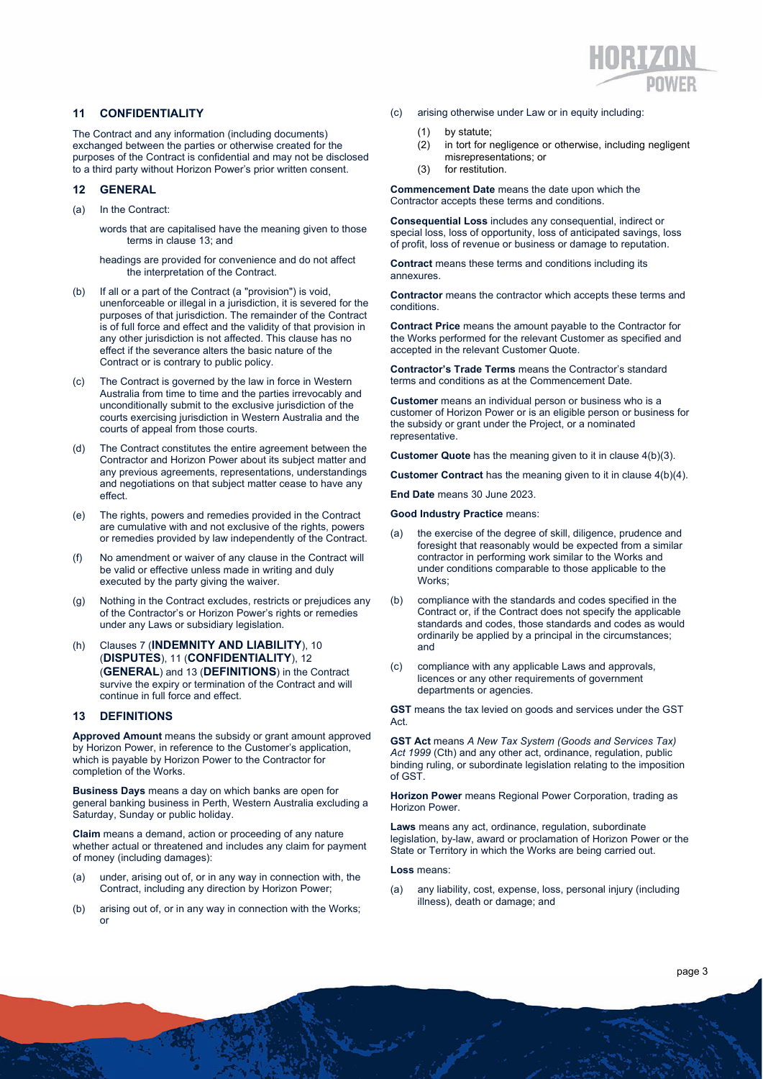

#### **11 CONFIDENTIALITY**

The Contract and any information (including documents) exchanged between the parties or otherwise created for the purposes of the Contract is confidential and may not be disclosed to a third party without Horizon Power's prior written consent.

#### **12 GENERAL**

(a) In the Contract:

words that are capitalised have the meaning given to those terms in clause 13; and

headings are provided for convenience and do not affect the interpretation of the Contract.

- (b) If all or a part of the Contract (a "provision") is void, unenforceable or illegal in a jurisdiction, it is severed for the purposes of that jurisdiction. The remainder of the Contract is of full force and effect and the validity of that provision in any other jurisdiction is not affected. This clause has no effect if the severance alters the basic nature of the Contract or is contrary to public policy.
- (c) The Contract is governed by the law in force in Western Australia from time to time and the parties irrevocably and unconditionally submit to the exclusive jurisdiction of the courts exercising jurisdiction in Western Australia and the courts of appeal from those courts.
- (d) The Contract constitutes the entire agreement between the Contractor and Horizon Power about its subject matter and any previous agreements, representations, understandings and negotiations on that subject matter cease to have any effect.
- (e) The rights, powers and remedies provided in the Contract are cumulative with and not exclusive of the rights, powers or remedies provided by law independently of the Contract.
- (f) No amendment or waiver of any clause in the Contract will be valid or effective unless made in writing and duly executed by the party giving the waiver.
- (g) Nothing in the Contract excludes, restricts or prejudices any of the Contractor's or Horizon Power's rights or remedies under any Laws or subsidiary legislation.
- (h) Clauses 7 (**INDEMNITY AND LIABILITY**), 10 (**DISPUTES**), 11 (**CONFIDENTIALITY**), 12 (**GENERAL**) and 13 (**DEFINITIONS**) in the Contract survive the expiry or termination of the Contract and will continue in full force and effect.

#### **13 DEFINITIONS**

**Approved Amount** means the subsidy or grant amount approved by Horizon Power, in reference to the Customer's application, which is payable by Horizon Power to the Contractor for completion of the Works.

**Business Days** means a day on which banks are open for general banking business in Perth, Western Australia excluding a Saturday, Sunday or public holiday.

**Claim** means a demand, action or proceeding of any nature whether actual or threatened and includes any claim for payment of money (including damages):

- (a) under, arising out of, or in any way in connection with, the Contract, including any direction by Horizon Power;
- (b) arising out of, or in any way in connection with the Works; or
- (c) arising otherwise under Law or in equity including:
	- (1) by statute;
	- (2) in tort for negligence or otherwise, including negligent misrepresentations; or
	- (3) for restitution.

**Commencement Date** means the date upon which the Contractor accepts these terms and conditions.

**Consequential Loss** includes any consequential, indirect or special loss, loss of opportunity, loss of anticipated savings, loss of profit, loss of revenue or business or damage to reputation.

**Contract** means these terms and conditions including its annexures.

**Contractor** means the contractor which accepts these terms and conditions.

**Contract Price** means the amount payable to the Contractor for the Works performed for the relevant Customer as specified and accepted in the relevant Customer Quote.

**Contractor's Trade Terms** means the Contractor's standard terms and conditions as at the Commencement Date.

**Customer** means an individual person or business who is a customer of Horizon Power or is an eligible person or business for the subsidy or grant under the Project, or a nominated representative.

**Customer Quote** has the meaning given to it in clause 4(b)(3).

**Customer Contract** has the meaning given to it in clause 4(b)(4).

**End Date** means 30 June 2023.

**Good Industry Practice** means:

- (a) the exercise of the degree of skill, diligence, prudence and foresight that reasonably would be expected from a similar contractor in performing work similar to the Works and under conditions comparable to those applicable to the Works;
- compliance with the standards and codes specified in the Contract or, if the Contract does not specify the applicable standards and codes, those standards and codes as would ordinarily be applied by a principal in the circumstances; and
- (c) compliance with any applicable Laws and approvals, licences or any other requirements of government departments or agencies.

**GST** means the tax levied on goods and services under the GST Act.

**GST Act** means *A New Tax System (Goods and Services Tax) Act 1999* (Cth) and any other act, ordinance, regulation, public binding ruling, or subordinate legislation relating to the imposition of GST.

**Horizon Power** means Regional Power Corporation, trading as Horizon Power.

**Laws** means any act, ordinance, regulation, subordinate legislation, by-law, award or proclamation of Horizon Power or the State or Territory in which the Works are being carried out.

**Loss** means:

د.<br>استعمال المستعمل المستعمل

(a) any liability, cost, expense, loss, personal injury (including illness), death or damage; and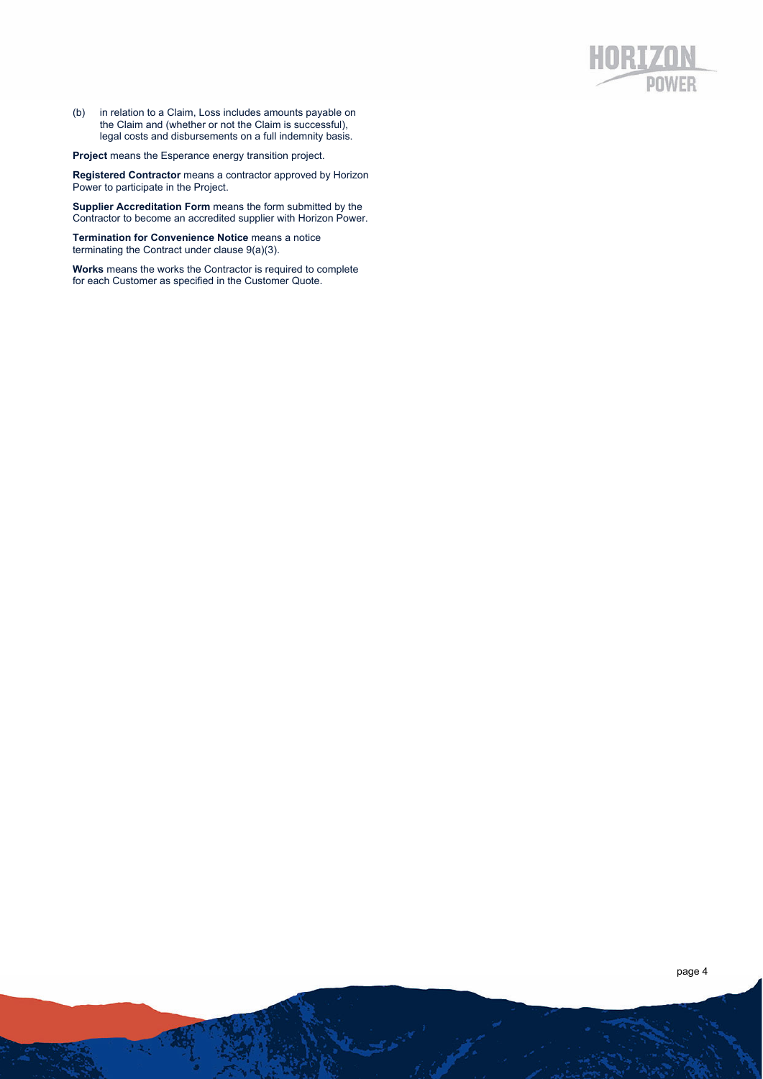(b) in relation to a Claim, Loss includes amounts payable on the Claim and (whether or not the Claim is successful), legal costs and disbursements on a full indemnity basis.

**Project** means the Esperance energy transition project.

**Registered Contractor** means a contractor approved by Horizon Power to participate in the Project.

**Supplier Accreditation Form** means the form submitted by the Contractor to become an accredited supplier with Horizon Power.

**Termination for Convenience Notice** means a notice terminating the Contract under clause 9(a)(3).

**Works** means the works the Contractor is required to complete for each Customer as specified in the Customer Quote.

فتمتعط